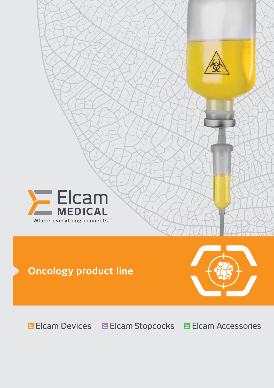



# **Oncology product line**



**Elcam Devices Elcam Stopcocks Elcam Accessories**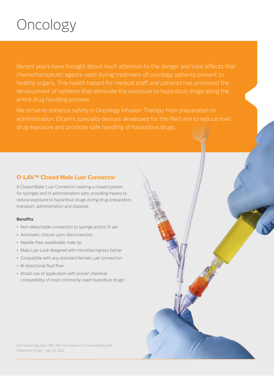# Oncology

Recent years have brought about much attention to the danger and toxic effects that chemotherapeutic agents used during treatment of oncology patients present to healthy organs. This health hazard for medical staff and patients has promoted the development of systems that eliminate the exposure to hazardous drugs along the entire drug handling process.

We strive to enhance safety in Oncology Infusion Therapy from preparation to administration. Elcam's specialty devices developed for this field aim to reduce toxic drug exposure and promote safe handling of hazardous drugs.

# **O-LAV™ Closed Male Luer Connector**

A Closed Maler Luer Connector creating a closed system for syringes and IV administration sets, providing means to reduce exposure to hazardous drugs during drug preparation, transport, administration and disposal.

#### **Benefits**

- Non-detachable connection to syringe and/or IV set
- Automatic closure upon disconnection
- Needle-free, swabbable male tip
- Male Luer Lock designed with microbial ingress barrier
- Compatible with any standard female Luer connection
- Bi-directional fluid flow
- Broad use of application with proven chemical compatibility of most commonly used hazardous drugs1

[1] Engineering data: CMC V&V Test Report for Compatibility with Hazardous Drugs – July 24, 2011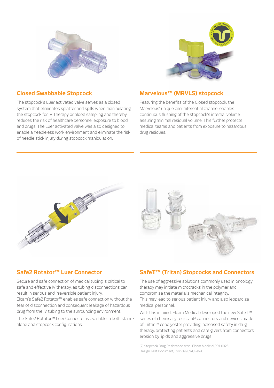



### **Closed Swabbable Stopcock**

The stopcock's Luer activated valve serves as a closed system that eliminates splatter and spills when manipulating the stopcock for IV Therapy or blood sampling and thereby reduces the risk of healthcare personnel exposure to blood and drugs. The Luer activated valve was also designed to enable a needleless work environment and eliminate the risk of needle stick injury during stopcock manipulation.

# **Marvelous™ (MRVLS) stopcock**

Featuring the benefits of the Closed stopcock, the Marvelous' unique circumferential channel enables continuous flushing of the stopcock's internal volume assuring minimal residual volume. This further protects medical teams and patients from exposure to hazardous drug residues.



# **Safe2 Rotator™ Luer Connector**

Secure and safe connection of medical tubing is critical to safe and effective IV therapy, as tubing disconnections can result in serious and irreversible patient injury.

Elcam's Safe2 Rotator™ enables safe connection without the fear of disconnection and consequent leakage of hazardous drug from the IV tubing to the surrounding environment.

The Safe2 Rotator™ Luer Connector is available in both standalone and stopcock configurations.

# **SafeT™ (Tritan) Stopcocks and Connectors**

The use of aggressive solutions commonly used in oncology therapy may initiate microcracks in the polymer and compromise the material's mechanical integrity. This may lead to serious patient injury and also jeopardize medical personnel.

With this in mind, Elcam Medical developed the new SafeT™ series of chemically resistant<sup>2</sup> connectors and devices made of Tritan™ copolyester providing increased safety in drug therapy, protecting patients and care givers from connectors' erosion by lipids and aggressive drugs

[2] Stopcock Drug Resistance test , Elcam Medic al,PRJ-0025 Design Test Document, Doc-099094, Rev-C